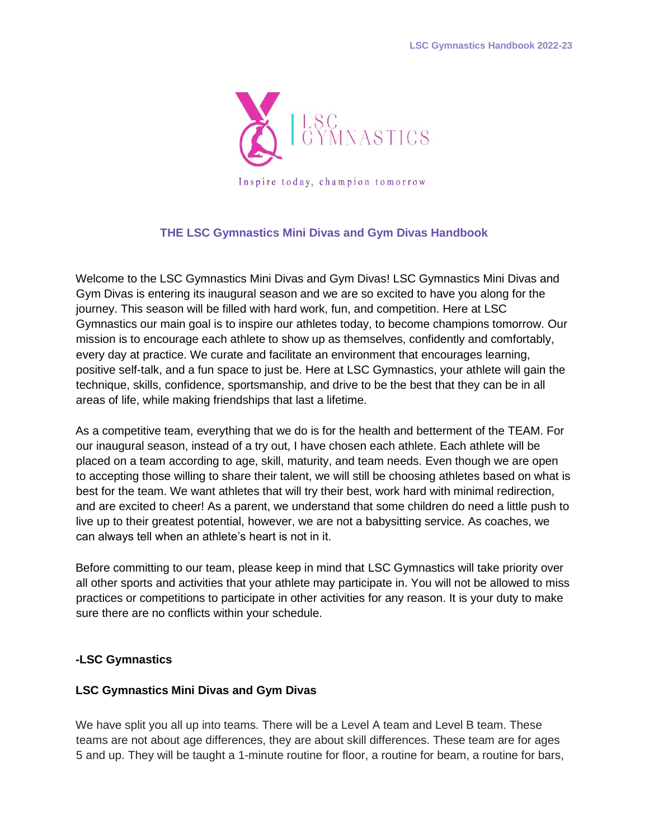

## **THE LSC Gymnastics Mini Divas and Gym Divas Handbook**

Welcome to the LSC Gymnastics Mini Divas and Gym Divas! LSC Gymnastics Mini Divas and Gym Divas is entering its inaugural season and we are so excited to have you along for the journey. This season will be filled with hard work, fun, and competition. Here at LSC Gymnastics our main goal is to inspire our athletes today, to become champions tomorrow. Our mission is to encourage each athlete to show up as themselves, confidently and comfortably, every day at practice. We curate and facilitate an environment that encourages learning, positive self-talk, and a fun space to just be. Here at LSC Gymnastics, your athlete will gain the technique, skills, confidence, sportsmanship, and drive to be the best that they can be in all areas of life, while making friendships that last a lifetime.

As a competitive team, everything that we do is for the health and betterment of the TEAM. For our inaugural season, instead of a try out, I have chosen each athlete. Each athlete will be placed on a team according to age, skill, maturity, and team needs. Even though we are open to accepting those willing to share their talent, we will still be choosing athletes based on what is best for the team. We want athletes that will try their best, work hard with minimal redirection, and are excited to cheer! As a parent, we understand that some children do need a little push to live up to their greatest potential, however, we are not a babysitting service. As coaches, we can always tell when an athlete's heart is not in it.

Before committing to our team, please keep in mind that LSC Gymnastics will take priority over all other sports and activities that your athlete may participate in. You will not be allowed to miss practices or competitions to participate in other activities for any reason. It is your duty to make sure there are no conflicts within your schedule.

## **-LSC Gymnastics**

#### **LSC Gymnastics Mini Divas and Gym Divas**

We have split you all up into teams. There will be a Level A team and Level B team. These teams are not about age differences, they are about skill differences. These team are for ages 5 and up. They will be taught a 1-minute routine for floor, a routine for beam, a routine for bars,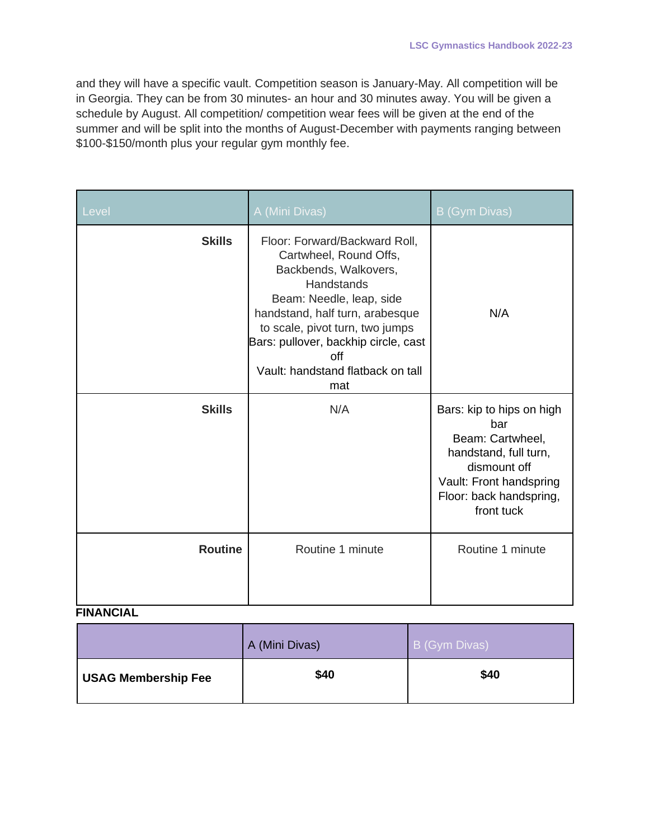and they will have a specific vault. Competition season is January-May. All competition will be in Georgia. They can be from 30 minutes- an hour and 30 minutes away. You will be given a schedule by August. All competition/ competition wear fees will be given at the end of the summer and will be split into the months of August-December with payments ranging between \$100-\$150/month plus your regular gym monthly fee.

| Level          | A (Mini Divas)                                                                                                                                                                                                                                                                              | B (Gym Divas)                                                                                                                                                     |
|----------------|---------------------------------------------------------------------------------------------------------------------------------------------------------------------------------------------------------------------------------------------------------------------------------------------|-------------------------------------------------------------------------------------------------------------------------------------------------------------------|
| <b>Skills</b>  | Floor: Forward/Backward Roll,<br>Cartwheel, Round Offs,<br>Backbends, Walkovers,<br>Handstands<br>Beam: Needle, leap, side<br>handstand, half turn, arabesque<br>to scale, pivot turn, two jumps<br>Bars: pullover, backhip circle, cast<br>off<br>Vault: handstand flatback on tall<br>mat | N/A                                                                                                                                                               |
| <b>Skills</b>  | N/A                                                                                                                                                                                                                                                                                         | Bars: kip to hips on high<br>bar<br>Beam: Cartwheel,<br>handstand, full turn,<br>dismount off<br>Vault: Front handspring<br>Floor: back handspring,<br>front tuck |
| <b>Routine</b> | Routine 1 minute                                                                                                                                                                                                                                                                            | Routine 1 minute                                                                                                                                                  |

# **FINANCIAL**

|                            | A (Mini Divas) | B (Gym Divas) |
|----------------------------|----------------|---------------|
| <b>USAG Membership Fee</b> | \$40           | \$40          |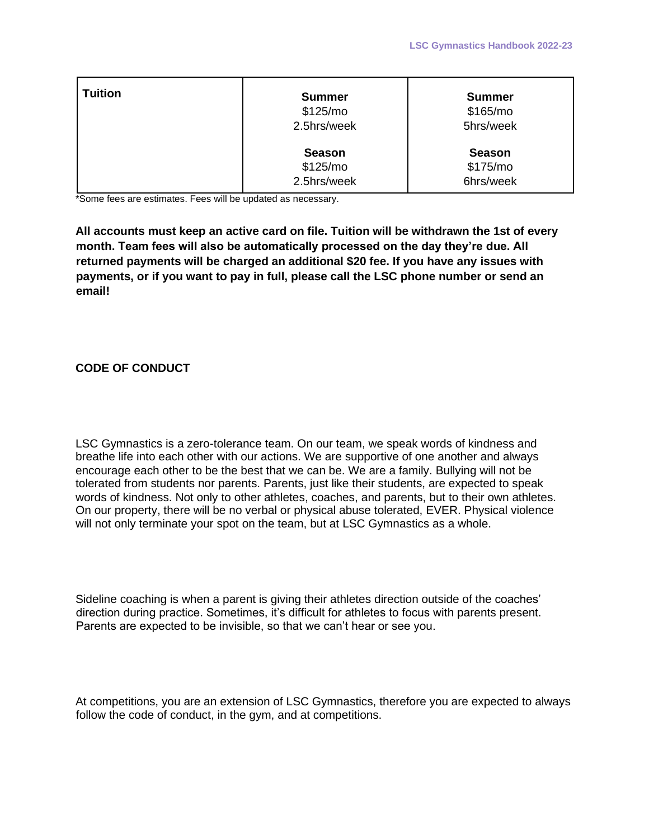| <b>Tuition</b> | <b>Summer</b><br>\$125/mo<br>2.5hrs/week | <b>Summer</b><br>\$165/mo<br>5hrs/week |
|----------------|------------------------------------------|----------------------------------------|
|                | <b>Season</b><br>\$125/mo<br>2.5hrs/week | <b>Season</b><br>\$175/mo<br>6hrs/week |

\*Some fees are estimates. Fees will be updated as necessary.

**All accounts must keep an active card on file. Tuition will be withdrawn the 1st of every month. Team fees will also be automatically processed on the day they're due. All returned payments will be charged an additional \$20 fee. If you have any issues with payments, or if you want to pay in full, please call the LSC phone number or send an email!**

#### **CODE OF CONDUCT**

LSC Gymnastics is a zero-tolerance team. On our team, we speak words of kindness and breathe life into each other with our actions. We are supportive of one another and always encourage each other to be the best that we can be. We are a family. Bullying will not be tolerated from students nor parents. Parents, just like their students, are expected to speak words of kindness. Not only to other athletes, coaches, and parents, but to their own athletes. On our property, there will be no verbal or physical abuse tolerated, EVER. Physical violence will not only terminate your spot on the team, but at LSC Gymnastics as a whole.

Sideline coaching is when a parent is giving their athletes direction outside of the coaches' direction during practice. Sometimes, it's difficult for athletes to focus with parents present. Parents are expected to be invisible, so that we can't hear or see you.

At competitions, you are an extension of LSC Gymnastics, therefore you are expected to always follow the code of conduct, in the gym, and at competitions.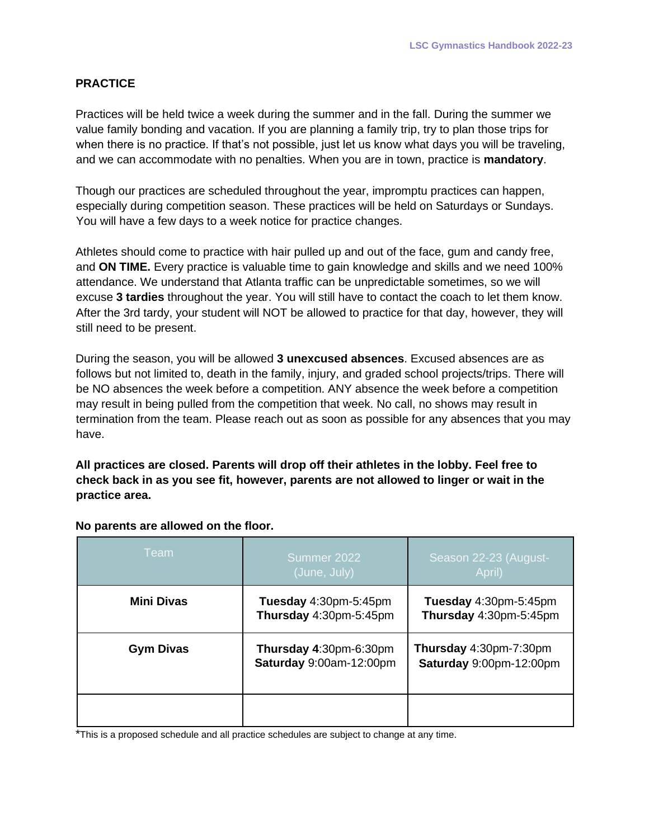## **PRACTICE**

Practices will be held twice a week during the summer and in the fall. During the summer we value family bonding and vacation. If you are planning a family trip, try to plan those trips for when there is no practice. If that's not possible, just let us know what days you will be traveling, and we can accommodate with no penalties. When you are in town, practice is **mandatory**.

Though our practices are scheduled throughout the year, impromptu practices can happen, especially during competition season. These practices will be held on Saturdays or Sundays. You will have a few days to a week notice for practice changes.

Athletes should come to practice with hair pulled up and out of the face, gum and candy free, and **ON TIME.** Every practice is valuable time to gain knowledge and skills and we need 100% attendance. We understand that Atlanta traffic can be unpredictable sometimes, so we will excuse **3 tardies** throughout the year. You will still have to contact the coach to let them know. After the 3rd tardy, your student will NOT be allowed to practice for that day, however, they will still need to be present.

During the season, you will be allowed **3 unexcused absences**. Excused absences are as follows but not limited to, death in the family, injury, and graded school projects/trips. There will be NO absences the week before a competition. ANY absence the week before a competition may result in being pulled from the competition that week. No call, no shows may result in termination from the team. Please reach out as soon as possible for any absences that you may have.

**All practices are closed. Parents will drop off their athletes in the lobby. Feel free to check back in as you see fit, however, parents are not allowed to linger or wait in the practice area.**

| <b>Team</b>      | Summer 2022<br>(June, July)                       | Season 22-23 (August-<br>April)                   |
|------------------|---------------------------------------------------|---------------------------------------------------|
| Mini Divas       | Tuesday 4:30pm-5:45pm<br>Thursday 4:30pm-5:45pm   | Tuesday 4:30pm-5:45pm<br>Thursday 4:30pm-5:45pm   |
| <b>Gym Divas</b> | Thursday 4:30pm-6:30pm<br>Saturday 9:00am-12:00pm | Thursday 4:30pm-7:30pm<br>Saturday 9:00pm-12:00pm |
|                  |                                                   |                                                   |

#### **No parents are allowed on the floor.**

\*This is a proposed schedule and all practice schedules are subject to change at any time.